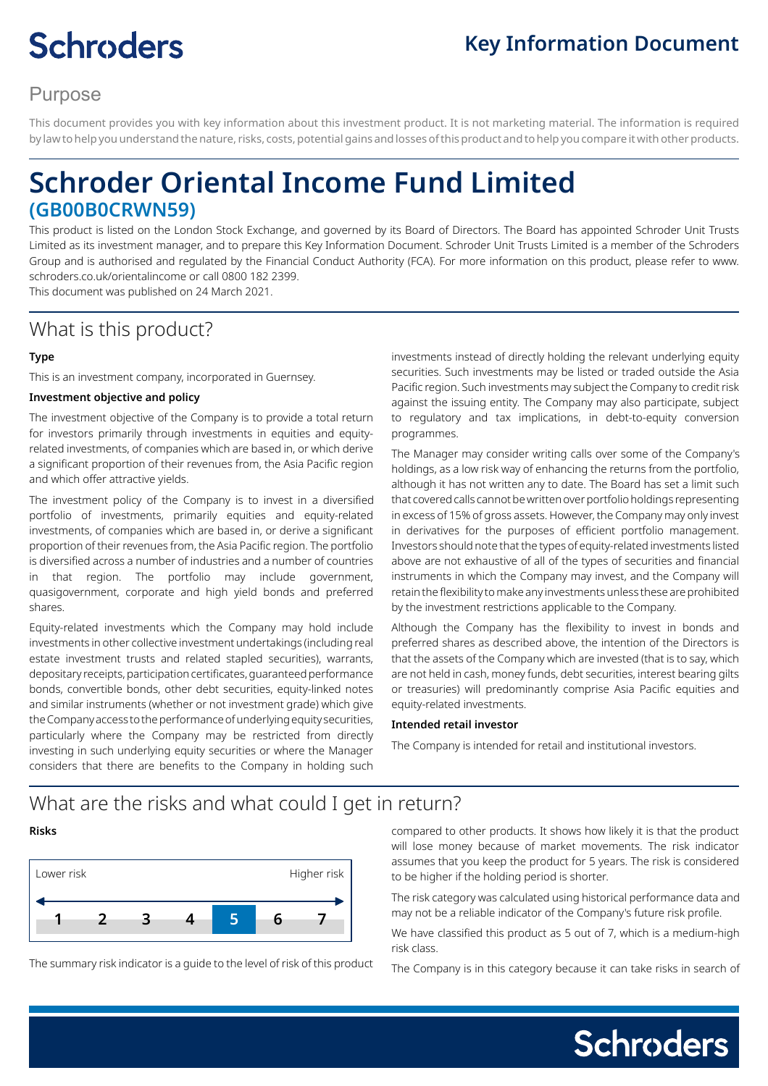# **Schroders**

# **Key Information Document**

# Purpose

This document provides you with key information about this investment product. It is not marketing material. The information is required by law to help you understand the nature, risks, costs, potential gains and losses of this product and to help you compare it with other products.

# **Schroder Oriental Income Fund Limited (GB00B0CRWN59)**

This product is listed on the London Stock Exchange, and governed by its Board of Directors. The Board has appointed Schroder Unit Trusts Limited as its investment manager, and to prepare this Key Information Document. Schroder Unit Trusts Limited is a member of the Schroders Group and is authorised and regulated by the Financial Conduct Authority (FCA). For more information on this product, please refer to www. schroders.co.uk/orientalincome or call 0800 182 2399.

This document was published on 24 March 2021.

# What is this product?

#### **Type**

This is an investment company, incorporated in Guernsey.

#### **Investment objective and policy**

The investment objective of the Company is to provide a total return for investors primarily through investments in equities and equityrelated investments, of companies which are based in, or which derive a significant proportion of their revenues from, the Asia Pacific region and which offer attractive yields.

The investment policy of the Company is to invest in a diversified portfolio of investments, primarily equities and equity-related investments, of companies which are based in, or derive a significant proportion of their revenues from, the Asia Pacific region. The portfolio is diversified across a number of industries and a number of countries in that region. The portfolio may include government, quasigovernment, corporate and high yield bonds and preferred shares.

Equity-related investments which the Company may hold include investments in other collective investment undertakings (including real estate investment trusts and related stapled securities), warrants, depositary receipts, participation certificates, guaranteed performance bonds, convertible bonds, other debt securities, equity-linked notes and similar instruments (whether or not investment grade) which give the Company access to the performance of underlying equity securities, particularly where the Company may be restricted from directly investing in such underlying equity securities or where the Manager considers that there are benefits to the Company in holding such investments instead of directly holding the relevant underlying equity securities. Such investments may be listed or traded outside the Asia Pacific region. Such investments may subject the Company to credit risk against the issuing entity. The Company may also participate, subject to regulatory and tax implications, in debt-to-equity conversion programmes.

The Manager may consider writing calls over some of the Company's holdings, as a low risk way of enhancing the returns from the portfolio, although it has not written any to date. The Board has set a limit such that covered calls cannot be written over portfolio holdings representing in excess of 15% of gross assets. However, the Company may only invest in derivatives for the purposes of efficient portfolio management. Investors should note that the types of equity-related investments listed above are not exhaustive of all of the types of securities and financial instruments in which the Company may invest, and the Company will retain the flexibility to make any investments unless these are prohibited by the investment restrictions applicable to the Company.

Although the Company has the flexibility to invest in bonds and preferred shares as described above, the intention of the Directors is that the assets of the Company which are invested (that is to say, which are not held in cash, money funds, debt securities, interest bearing gilts or treasuries) will predominantly comprise Asia Pacific equities and equity-related investments.

#### **Intended retail investor**

The Company is intended for retail and institutional investors.

### What are the risks and what could I get in return?

#### **Risks**



The summary risk indicator is a guide to the level of risk of this product

compared to other products. It shows how likely it is that the product will lose money because of market movements. The risk indicator assumes that you keep the product for 5 years. The risk is considered to be higher if the holding period is shorter.

The risk category was calculated using historical performance data and may not be a reliable indicator of the Company's future risk profile.

We have classified this product as 5 out of 7, which is a medium-high risk class.

The Company is in this category because it can take risks in search of

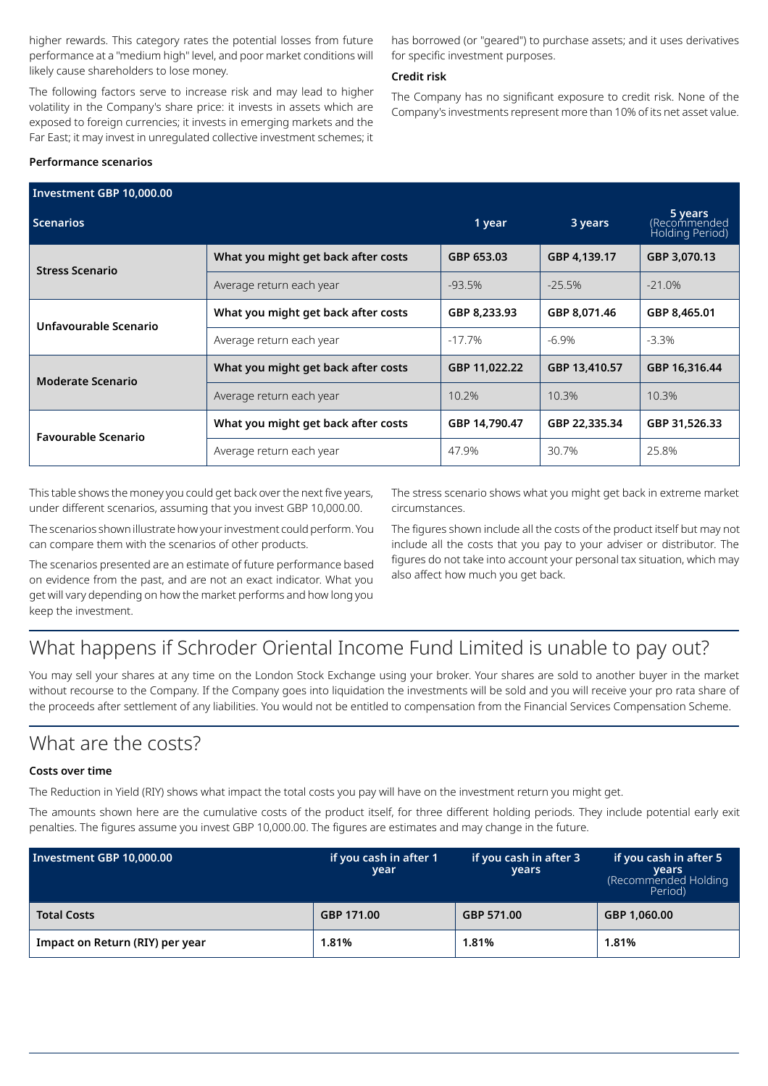higher rewards. This category rates the potential losses from future performance at a "medium high" level, and poor market conditions will likely cause shareholders to lose money.

The following factors serve to increase risk and may lead to higher volatility in the Company's share price: it invests in assets which are exposed to foreign currencies; it invests in emerging markets and the Far East; it may invest in unregulated collective investment schemes; it has borrowed (or "geared") to purchase assets; and it uses derivatives for specific investment purposes.

#### **Credit risk**

The Company has no significant exposure to credit risk. None of the Company's investments represent more than 10% of its net asset value.

#### **Performance scenarios**

| Investment GBP 10,000.00   |                                     |               |                                            |               |  |  |
|----------------------------|-------------------------------------|---------------|--------------------------------------------|---------------|--|--|
| <b>Scenarios</b>           | 1 year                              | 3 years       | 5 years<br>Recommended)<br>Holding Period) |               |  |  |
| <b>Stress Scenario</b>     | What you might get back after costs | GBP 653.03    | GBP 4,139.17                               | GBP 3,070.13  |  |  |
|                            | Average return each year            | $-93.5%$      | $-25.5%$                                   | $-21.0%$      |  |  |
| Unfavourable Scenario      | What you might get back after costs | GBP 8,233.93  | GBP 8,071.46                               | GBP 8,465.01  |  |  |
|                            | Average return each year            | $-17.7\%$     | $-6.9%$                                    | $-3.3%$       |  |  |
| <b>Moderate Scenario</b>   | What you might get back after costs | GBP 11,022.22 | GBP 13,410.57                              | GBP 16,316.44 |  |  |
|                            | Average return each year            | 10.2%         | 10.3%                                      | 10.3%         |  |  |
| <b>Favourable Scenario</b> | What you might get back after costs | GBP 14,790.47 | GBP 22,335.34                              | GBP 31,526.33 |  |  |
|                            | Average return each year            | 47.9%         | 30.7%                                      | 25.8%         |  |  |

This table shows the money you could get back over the next five years, under different scenarios, assuming that you invest GBP 10,000.00.

The scenarios shown illustrate how your investment could perform. You can compare them with the scenarios of other products.

The scenarios presented are an estimate of future performance based on evidence from the past, and are not an exact indicator. What you get will vary depending on how the market performs and how long you keep the investment.

The stress scenario shows what you might get back in extreme market circumstances.

The figures shown include all the costs of the product itself but may not include all the costs that you pay to your adviser or distributor. The figures do not take into account your personal tax situation, which may also affect how much you get back.

# What happens if Schroder Oriental Income Fund Limited is unable to pay out?

You may sell your shares at any time on the London Stock Exchange using your broker. Your shares are sold to another buyer in the market without recourse to the Company. If the Company goes into liquidation the investments will be sold and you will receive your pro rata share of the proceeds after settlement of any liabilities. You would not be entitled to compensation from the Financial Services Compensation Scheme.

### What are the costs?

#### **Costs over time**

The Reduction in Yield (RIY) shows what impact the total costs you pay will have on the investment return you might get.

The amounts shown here are the cumulative costs of the product itself, for three different holding periods. They include potential early exit penalties. The figures assume you invest GBP 10,000.00. The figures are estimates and may change in the future.

| Investment GBP 10,000.00        | if you cash in after 1<br>year | if you cash in after 3<br>years | if you cash in after 5<br><b>vears</b><br>(Recommended Holding<br>Period) |
|---------------------------------|--------------------------------|---------------------------------|---------------------------------------------------------------------------|
| <b>Total Costs</b>              | GBP 171.00                     | GBP 571.00                      | GBP 1,060.00                                                              |
| Impact on Return (RIY) per year | 1.81%                          | 1.81%                           | 1.81%                                                                     |